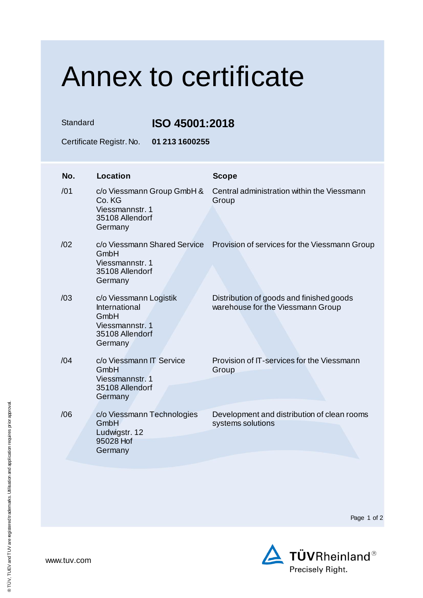## Annex to certificate

Standard **ISO 45001:2018**

Certificate Registr. No. **01 213 1600255**

| No. | <b>Location</b>                                                                                  | <b>Scope</b>                                                                  |
|-----|--------------------------------------------------------------------------------------------------|-------------------------------------------------------------------------------|
| /01 | c/o Viessmann Group GmbH &<br>Co. KG<br>Viessmannstr. 1<br>35108 Allendorf<br>Germany            | Central administration within the Viessmann<br>Group                          |
| /02 | c/o Viessmann Shared Service<br>GmbH<br>Viessmannstr, 1<br>35108 Allendorf<br>Germany            | Provision of services for the Viessmann Group                                 |
| /03 | c/o Viessmann Logistik<br>International<br>GmbH<br>Viessmannstr. 1<br>35108 Allendorf<br>Germany | Distribution of goods and finished goods<br>warehouse for the Viessmann Group |
| /04 | c/o Viessmann IT Service<br>GmbH<br>Viessmannstr. 1<br>35108 Allendorf<br>Germany                | Provision of IT-services for the Viessmann<br>Group                           |
| /06 | c/o Viessmann Technologies<br>GmbH<br>Ludwigstr. 12<br>95028 Hof<br>Germany                      | Development and distribution of clean rooms<br>systems solutions              |

Page 1 of 2



www.tuv.com